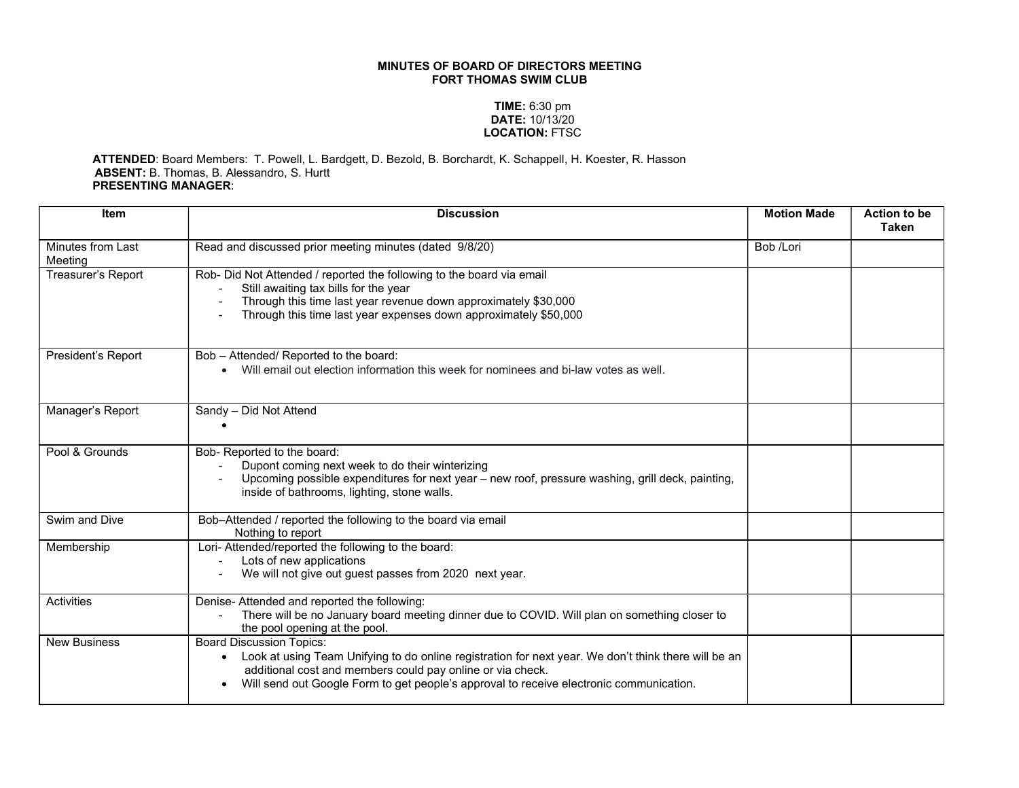## MINUTES OF BOARD OF DIRECTORS MEETING FORT THOMAS SWIM CLUB

## TIME: 6:30 pm DATE: 10/13/20 LOCATION: FTSC

## ATTENDED: Board Members: T. Powell, L. Bardgett, D. Bezold, B. Borchardt, K. Schappell, H. Koester, R. Hasson ABSENT: B. Thomas, B. Alessandro, S. Hurtt PRESENTING MANAGER:

| <b>Item</b>                  | <b>Discussion</b>                                                                                                                                                                                                                                                                                                          | <b>Motion Made</b> | <b>Action to be</b><br><b>Taken</b> |
|------------------------------|----------------------------------------------------------------------------------------------------------------------------------------------------------------------------------------------------------------------------------------------------------------------------------------------------------------------------|--------------------|-------------------------------------|
| Minutes from Last<br>Meeting | Read and discussed prior meeting minutes (dated 9/8/20)                                                                                                                                                                                                                                                                    | Bob /Lori          |                                     |
| Treasurer's Report           | Rob- Did Not Attended / reported the following to the board via email<br>Still awaiting tax bills for the year<br>Through this time last year revenue down approximately \$30,000<br>Through this time last year expenses down approximately \$50,000                                                                      |                    |                                     |
| President's Report           | Bob - Attended/ Reported to the board:<br>Will email out election information this week for nominees and bi-law votes as well.                                                                                                                                                                                             |                    |                                     |
| Manager's Report             | Sandy - Did Not Attend                                                                                                                                                                                                                                                                                                     |                    |                                     |
| Pool & Grounds               | Bob- Reported to the board:<br>Dupont coming next week to do their winterizing<br>Upcoming possible expenditures for next year - new roof, pressure washing, grill deck, painting,<br>inside of bathrooms, lighting, stone walls.                                                                                          |                    |                                     |
| Swim and Dive                | Bob-Attended / reported the following to the board via email<br>Nothing to report                                                                                                                                                                                                                                          |                    |                                     |
| Membership                   | Lori- Attended/reported the following to the board:<br>Lots of new applications<br>We will not give out guest passes from 2020 next year.                                                                                                                                                                                  |                    |                                     |
| Activities                   | Denise-Attended and reported the following:<br>There will be no January board meeting dinner due to COVID. Will plan on something closer to<br>the pool opening at the pool.                                                                                                                                               |                    |                                     |
| <b>New Business</b>          | <b>Board Discussion Topics:</b><br>Look at using Team Unifying to do online registration for next year. We don't think there will be an<br>$\bullet$<br>additional cost and members could pay online or via check.<br>Will send out Google Form to get people's approval to receive electronic communication.<br>$\bullet$ |                    |                                     |